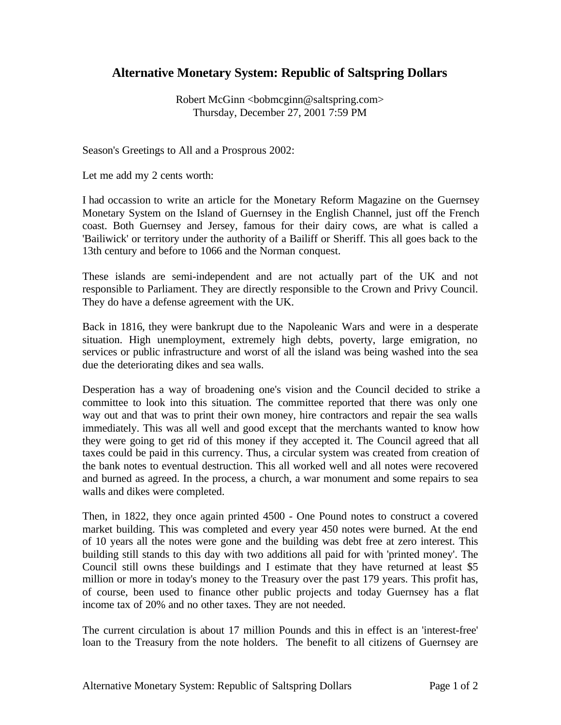## **Alternative Monetary System: Republic of Saltspring Dollars**

Robert McGinn <br/> <br/>bobmcginn@saltspring.com> Thursday, December 27, 2001 7:59 PM

Season's Greetings to All and a Prosprous 2002:

Let me add my 2 cents worth:

I had occassion to write an article for the Monetary Reform Magazine on the Guernsey Monetary System on the Island of Guernsey in the English Channel, just off the French coast. Both Guernsey and Jersey, famous for their dairy cows, are what is called a 'Bailiwick' or territory under the authority of a Bailiff or Sheriff. This all goes back to the 13th century and before to 1066 and the Norman conquest.

These islands are semi-independent and are not actually part of the UK and not responsible to Parliament. They are directly responsible to the Crown and Privy Council. They do have a defense agreement with the UK.

Back in 1816, they were bankrupt due to the Napoleanic Wars and were in a desperate situation. High unemployment, extremely high debts, poverty, large emigration, no services or public infrastructure and worst of all the island was being washed into the sea due the deteriorating dikes and sea walls.

Desperation has a way of broadening one's vision and the Council decided to strike a committee to look into this situation. The committee reported that there was only one way out and that was to print their own money, hire contractors and repair the sea walls immediately. This was all well and good except that the merchants wanted to know how they were going to get rid of this money if they accepted it. The Council agreed that all taxes could be paid in this currency. Thus, a circular system was created from creation of the bank notes to eventual destruction. This all worked well and all notes were recovered and burned as agreed. In the process, a church, a war monument and some repairs to sea walls and dikes were completed.

Then, in 1822, they once again printed 4500 - One Pound notes to construct a covered market building. This was completed and every year 450 notes were burned. At the end of 10 years all the notes were gone and the building was debt free at zero interest. This building still stands to this day with two additions all paid for with 'printed money'. The Council still owns these buildings and I estimate that they have returned at least \$5 million or more in today's money to the Treasury over the past 179 years. This profit has, of course, been used to finance other public projects and today Guernsey has a flat income tax of 20% and no other taxes. They are not needed.

The current circulation is about 17 million Pounds and this in effect is an 'interest-free' loan to the Treasury from the note holders. The benefit to all citizens of Guernsey are